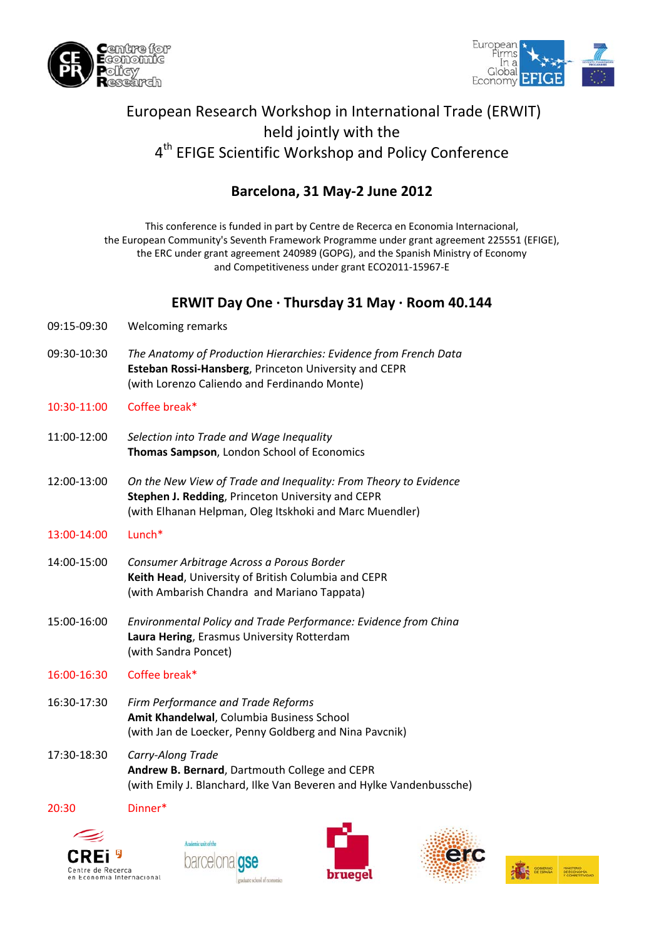



# European Research Workshop in International Trade (ERWIT) held jointly with the 4<sup>th</sup> EFIGE Scientific Workshop and Policy Conference

## **Barcelona, 31 May‐2 June 2012**

This conference is funded in part by Centre de Recerca en Economia Internacional, the European Community's Seventh Framework Programme under grant agreement 225551 (EFIGE), the ERC under grant agreement 240989 (GOPG), and the Spanish Ministry of Economy and Competitiveness under grant ECO2011‐15967‐E

## **ERWIT Day One ∙ Thursday 31 May ∙ Room 40.144**

- 09:15‐09:30 Welcoming remarks
- 09:30‐10:30 *The Anatomy of Production Hierarchies: Evidence from French Data* **Esteban Rossi‐Hansberg**, Princeton University and CEPR (with Lorenzo Caliendo and Ferdinando Monte)
- 10:30‐11:00 Coffee break\*
- 11:00‐12:00 *Selection into Trade and Wage Inequality* **Thomas Sampson**, London School of Economics
- 12:00‐13:00 *On the New View of Trade and Inequality: From Theory to Evidence* **Stephen J. Redding**, Princeton University and CEPR (with Elhanan Helpman, Oleg Itskhoki and Marc Muendler)
- 13:00‐14:00 Lunch\*
- 14:00‐15:00 *Consumer Arbitrage Across a Porous Border* **Keith Head**, University of British Columbia and CEPR (with Ambarish Chandra and Mariano Tappata)
- 15:00‐16:00 *Environmental Policy and Trade Performance: Evidence from China* **Laura Hering**, Erasmus University Rotterdam (with Sandra Poncet)

#### 16:00‐16:30 Coffee break\*

- 16:30‐17:30 *Firm Performance and Trade Reforms* **Amit Khandelwal**, Columbia Business School (with Jan de Loecker, Penny Goldberg and Nina Pavcnik)
- 17:30‐18:30 *Carry‐Along Trade* **Andrew B. Bernard**, Dartmouth College and CEPR (with Emily J. Blanchard, Ilke Van Beveren and Hylke Vandenbussche)

20:30 Dinner\*









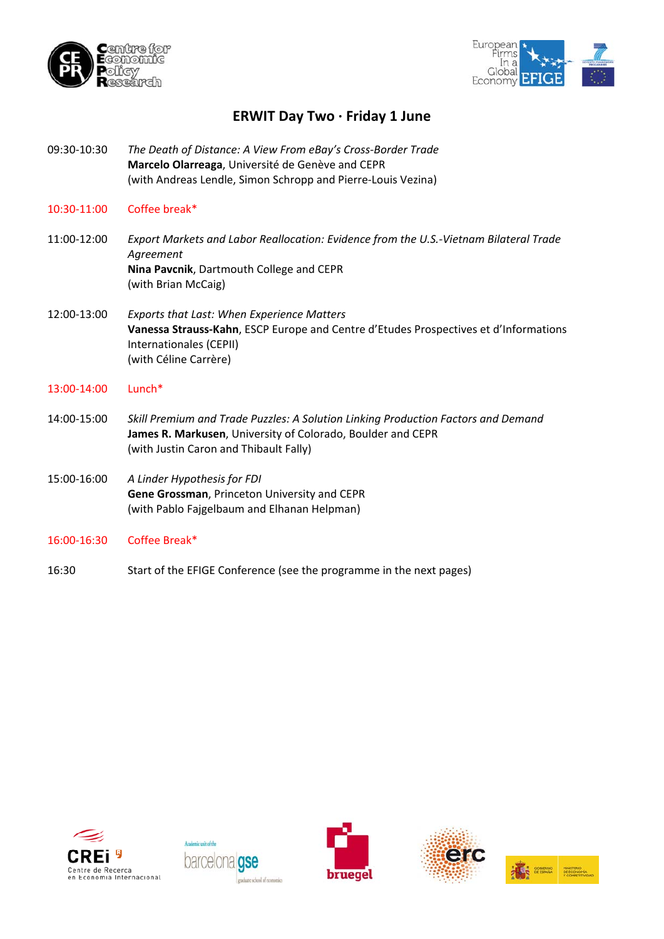



### **ERWIT Day Two ∙ Friday 1 June**

- 09:30‐10:30 *The Death of Distance: A View From eBay's Cross‐Border Trade* **Marcelo Olarreaga**, Université de Genève and CEPR (with Andreas Lendle, Simon Schropp and Pierre‐Louis Vezina)
- 10:30‐11:00 Coffee break\*
- 11:00‐12:00 *Export Markets and Labor Reallocation: Evidence from the U.S.‐Vietnam Bilateral Trade Agreement* **Nina Pavcnik**, Dartmouth College and CEPR  (with Brian McCaig)
- 12:00‐13:00 *Exports that Last: When Experience Matters* **Vanessa Strauss‐Kahn**, ESCP Europe and Centre d'Etudes Prospectives et d'Informations Internationales (CEPII) (with Céline Carrère)
- 13:00‐14:00 Lunch\*
- 14:00‐15:00 *Skill Premium and Trade Puzzles: A Solution Linking Production Factors and Demand* **James R. Markusen**, University of Colorado, Boulder and CEPR (with Justin Caron and Thibault Fally)
- 15:00‐16:00 *A Linder Hypothesis for FDI* **Gene Grossman**, Princeton University and CEPR (with Pablo Fajgelbaum and Elhanan Helpman)
- 16:00‐16:30 Coffee Break\*
- 16:30 Start of the EFIGE Conference (see the programme in the next pages)